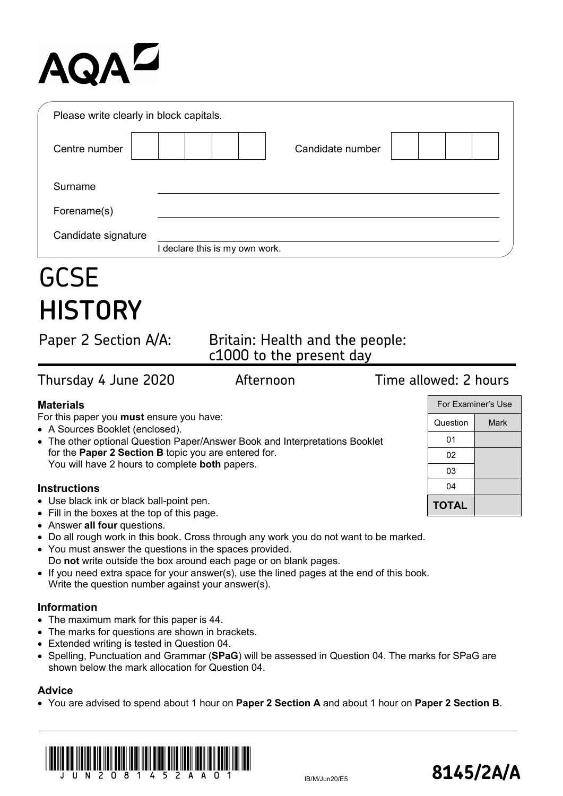# **AQA<sup>L</sup>**

| Please write clearly in block capitals. |                              |
|-----------------------------------------|------------------------------|
| Centre number                           | Candidate number             |
| Surname                                 |                              |
| Forename(s)                             |                              |
| Candidate signature                     | declare this is my own work. |

## GCSE **HISTORY**

### Paper 2 Section A/A: Britain: Health and the people: c1000 to the present day

Thursday 4 June 2020 Afternoon Time allowed: 2 hours

**TOTAL**

For Examiner's Use Question Mark

For this paper you **must** ensure you have:

- A Sources Booklet (enclosed).
- The other optional Question Paper/Answer Book and Interpretations Booklet for the **Paper 2 Section B** topic you are entered for. You will have 2 hours to complete **both** papers.

#### **Instructions**

- Use black ink or black ball-point pen.
- Fill in the boxes at the top of this page.
- Answer **all four** questions.
- Do all rough work in this book. Cross through any work you do not want to be marked.
- You must answer the questions in the spaces provided. Do **not** write outside the box around each page or on blank pages.
- If you need extra space for your answer(s), use the lined pages at the end of this book. Write the question number against your answer(s).

#### **Information**

- The maximum mark for this paper is 44.
- The marks for questions are shown in brackets.
- Extended writing is tested in Question 04.
- Spelling, Punctuation and Grammar (**SPaG**) will be assessed in Question 04. The marks for SPaG are shown below the mark allocation for Question 04.

#### **Advice**

• You are advised to spend about 1 hour on **Paper 2 Section A** and about 1 hour on **Paper 2 Section B**.



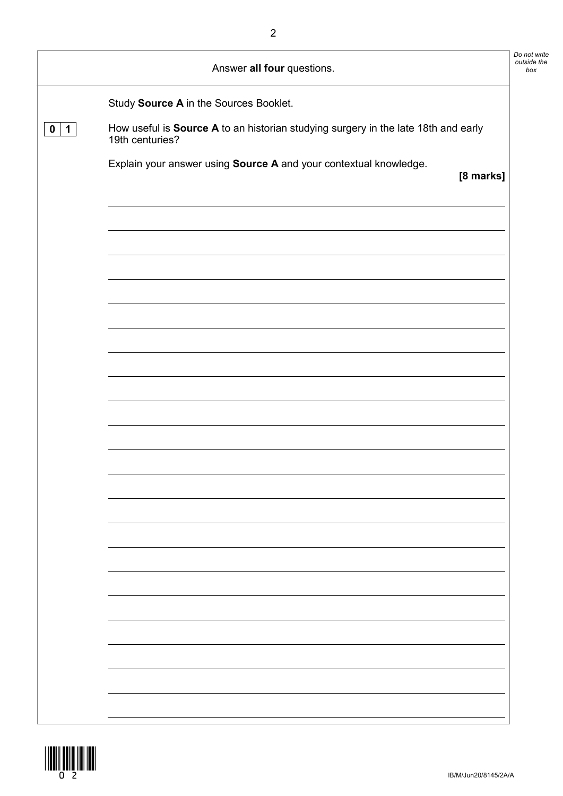|                            | Answer all four questions.                                                                            |           |
|----------------------------|-------------------------------------------------------------------------------------------------------|-----------|
|                            | Study Source A in the Sources Booklet.                                                                |           |
| $\mathbf 1$<br>$\mathbf 0$ | How useful is Source A to an historian studying surgery in the late 18th and early<br>19th centuries? |           |
|                            | Explain your answer using Source A and your contextual knowledge.                                     | [8 marks] |
|                            |                                                                                                       |           |
|                            |                                                                                                       |           |
|                            |                                                                                                       |           |
|                            |                                                                                                       |           |
|                            |                                                                                                       |           |
|                            |                                                                                                       |           |
|                            |                                                                                                       |           |
|                            |                                                                                                       |           |
|                            |                                                                                                       |           |
|                            |                                                                                                       |           |
|                            |                                                                                                       |           |
|                            |                                                                                                       |           |
|                            |                                                                                                       |           |
|                            |                                                                                                       |           |
|                            |                                                                                                       |           |
|                            |                                                                                                       |           |

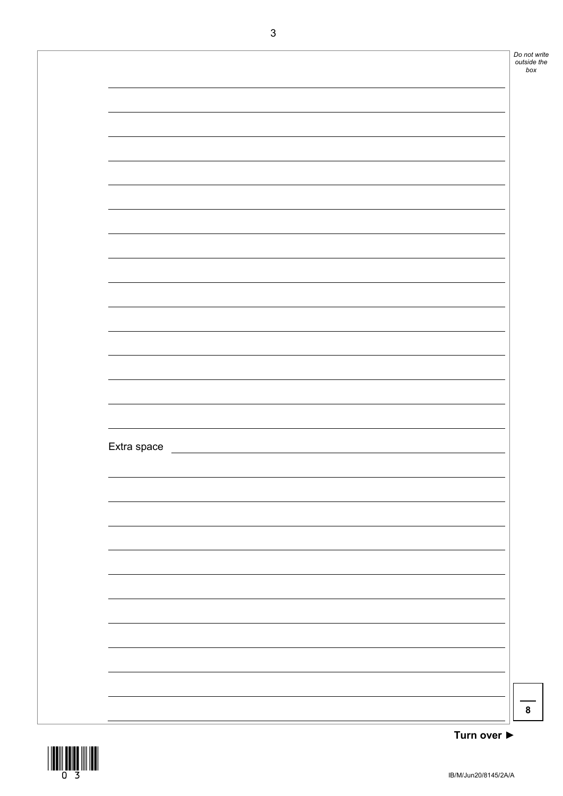| Extra space |  |
|-------------|--|
|             |  |
|             |  |
|             |  |
|             |  |
|             |  |
|             |  |
|             |  |
|             |  |
|             |  |
|             |  |
|             |  |
|             |  |
|             |  |
|             |  |
|             |  |

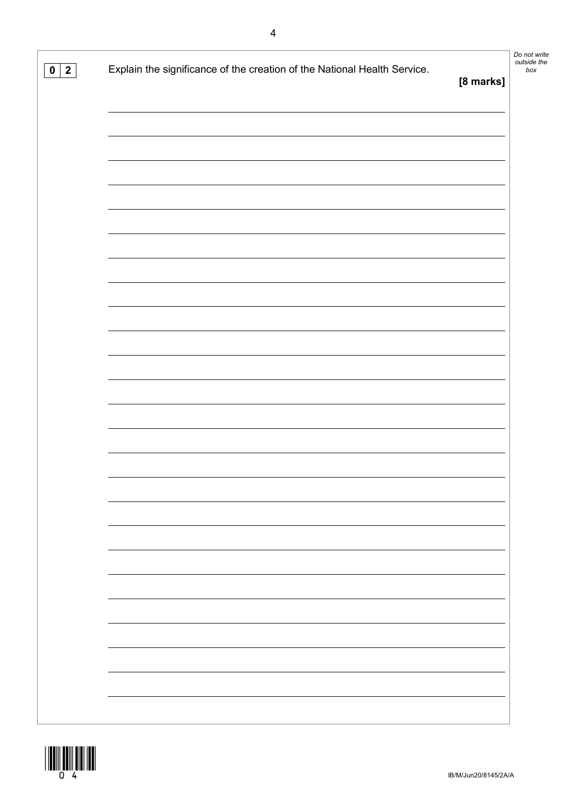| $2 \mid$<br>$\mathbf 0$ | Explain the significance of the creation of the National Health Service. | [8 marks] | Do not write<br>outside the<br>box |
|-------------------------|--------------------------------------------------------------------------|-----------|------------------------------------|
|                         |                                                                          |           |                                    |
|                         |                                                                          |           |                                    |
|                         |                                                                          |           |                                    |
|                         |                                                                          |           |                                    |
|                         |                                                                          |           |                                    |
|                         |                                                                          |           |                                    |
|                         |                                                                          |           |                                    |
|                         |                                                                          |           |                                    |
|                         |                                                                          |           |                                    |
|                         |                                                                          |           |                                    |
|                         |                                                                          |           |                                    |
|                         |                                                                          |           |                                    |
|                         |                                                                          |           |                                    |

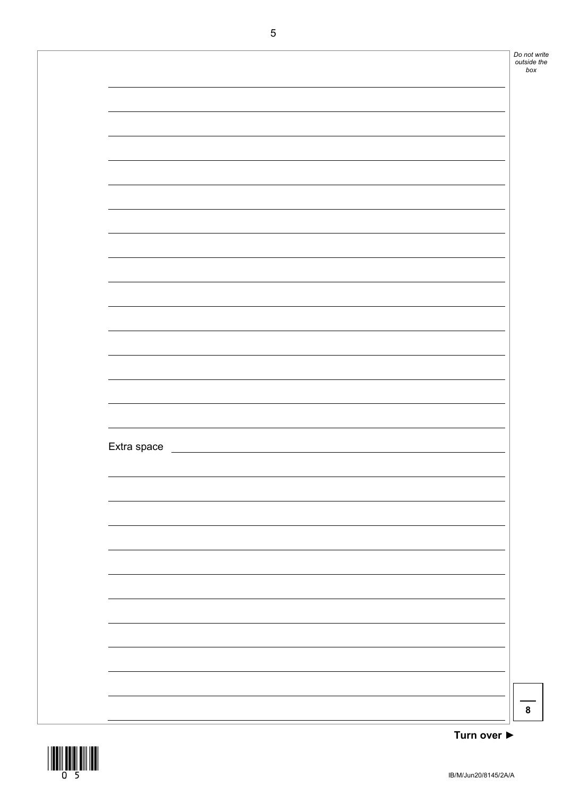| Extra space |  |  |
|-------------|--|--|
|             |  |  |
|             |  |  |
|             |  |  |
|             |  |  |
|             |  |  |
|             |  |  |
|             |  |  |
|             |  |  |
|             |  |  |
|             |  |  |
|             |  |  |



IB/M/Jun20/8145/2A/A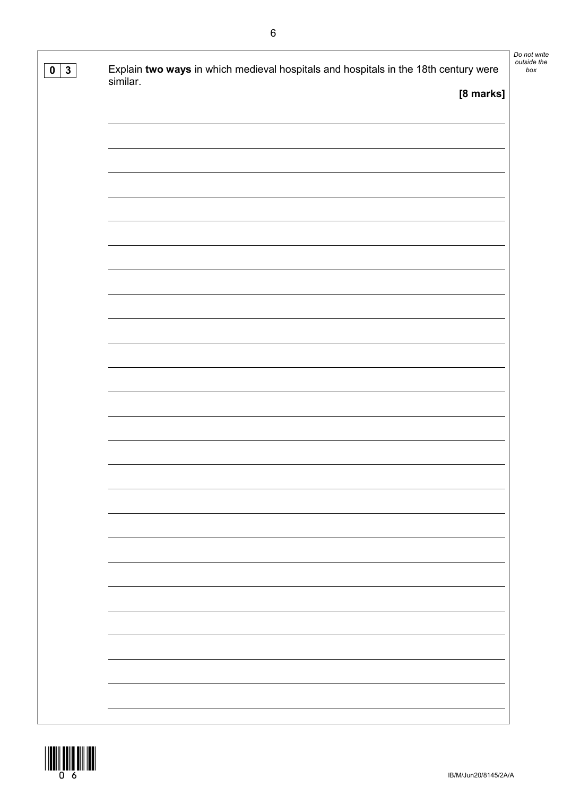| $3\phantom{a}$<br>$\mathbf 0$ | Explain two ways in which medieval hospitals and hospitals in the 18th century were<br>similar. | Do not write<br>outside the<br>box |
|-------------------------------|-------------------------------------------------------------------------------------------------|------------------------------------|
|                               | [8 marks]                                                                                       |                                    |
|                               |                                                                                                 |                                    |
|                               |                                                                                                 |                                    |
|                               |                                                                                                 |                                    |
|                               |                                                                                                 |                                    |
|                               |                                                                                                 |                                    |
|                               |                                                                                                 |                                    |
|                               |                                                                                                 |                                    |
|                               |                                                                                                 |                                    |
|                               |                                                                                                 |                                    |
|                               |                                                                                                 |                                    |
|                               |                                                                                                 |                                    |
|                               |                                                                                                 |                                    |
|                               |                                                                                                 |                                    |
|                               |                                                                                                 |                                    |
|                               |                                                                                                 |                                    |
|                               |                                                                                                 |                                    |
|                               |                                                                                                 |                                    |
|                               |                                                                                                 |                                    |
|                               |                                                                                                 |                                    |
|                               |                                                                                                 |                                    |
|                               |                                                                                                 |                                    |
|                               |                                                                                                 |                                    |
|                               |                                                                                                 |                                    |
|                               |                                                                                                 |                                    |
|                               |                                                                                                 |                                    |
|                               |                                                                                                 |                                    |

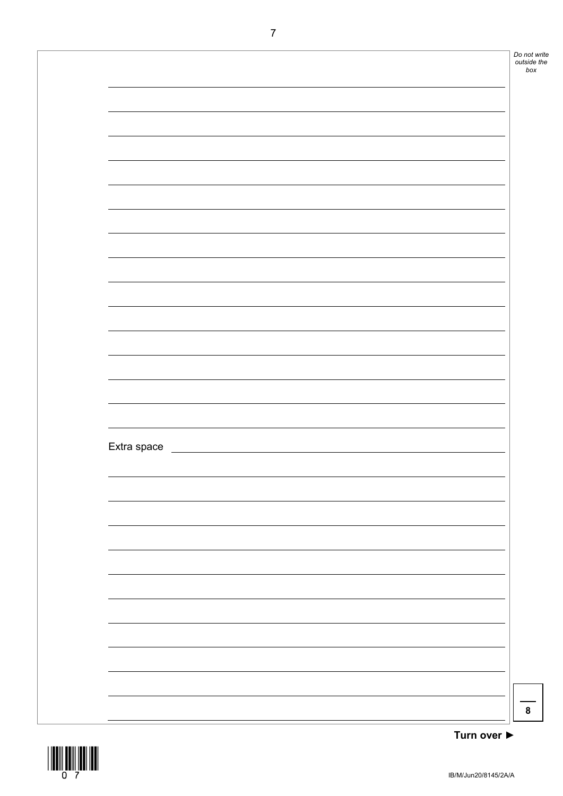| Extra space | <u> 1980 - Jan Barbara Barat, martin da basar da basar da basar da basar da basar da basar da basar da basar da b</u> |  |  |
|-------------|-----------------------------------------------------------------------------------------------------------------------|--|--|
|             |                                                                                                                       |  |  |
|             |                                                                                                                       |  |  |
|             |                                                                                                                       |  |  |
|             |                                                                                                                       |  |  |
|             |                                                                                                                       |  |  |
|             |                                                                                                                       |  |  |
|             |                                                                                                                       |  |  |
|             |                                                                                                                       |  |  |
|             |                                                                                                                       |  |  |
|             |                                                                                                                       |  |  |
|             |                                                                                                                       |  |  |
|             |                                                                                                                       |  |  |
|             |                                                                                                                       |  |  |
|             |                                                                                                                       |  |  |
|             |                                                                                                                       |  |  |
|             |                                                                                                                       |  |  |



*Do not write outside the*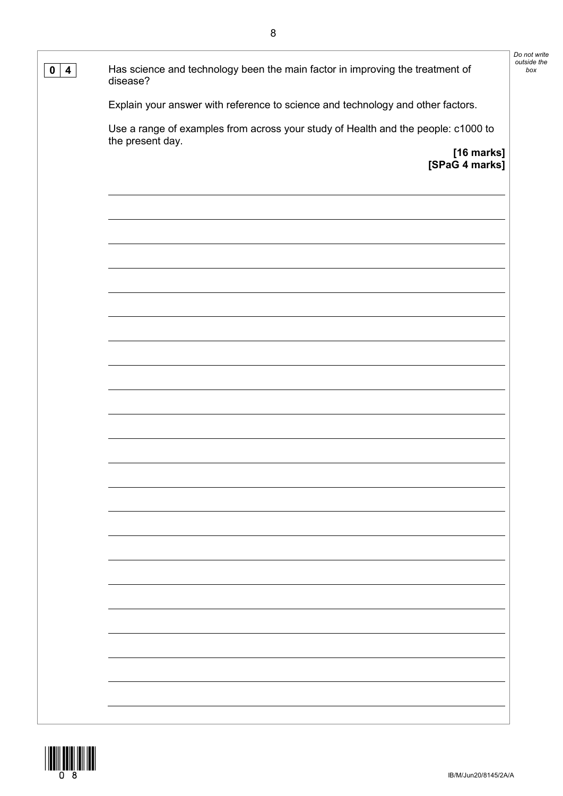| $\mathbf 0$<br>4 | Has science and technology been the main factor in improving the treatment of<br>disease?                           | Do not write<br>outside the<br>box |
|------------------|---------------------------------------------------------------------------------------------------------------------|------------------------------------|
|                  | Explain your answer with reference to science and technology and other factors.                                     |                                    |
|                  | Use a range of examples from across your study of Health and the people: c1000 to<br>the present day.<br>[16 marks] |                                    |
|                  | [SPaG 4 marks]                                                                                                      |                                    |
|                  |                                                                                                                     |                                    |
|                  |                                                                                                                     |                                    |
|                  |                                                                                                                     |                                    |
|                  |                                                                                                                     |                                    |
|                  |                                                                                                                     |                                    |
|                  |                                                                                                                     |                                    |
|                  |                                                                                                                     |                                    |
|                  |                                                                                                                     |                                    |
|                  |                                                                                                                     |                                    |
|                  |                                                                                                                     |                                    |
|                  |                                                                                                                     |                                    |
|                  |                                                                                                                     |                                    |
|                  |                                                                                                                     |                                    |
|                  |                                                                                                                     |                                    |
|                  |                                                                                                                     |                                    |
|                  |                                                                                                                     |                                    |

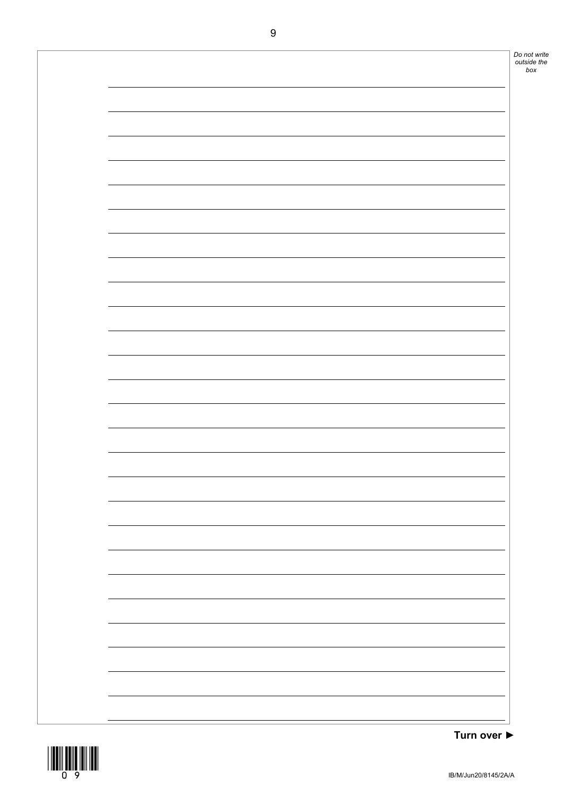



**Turn over ►**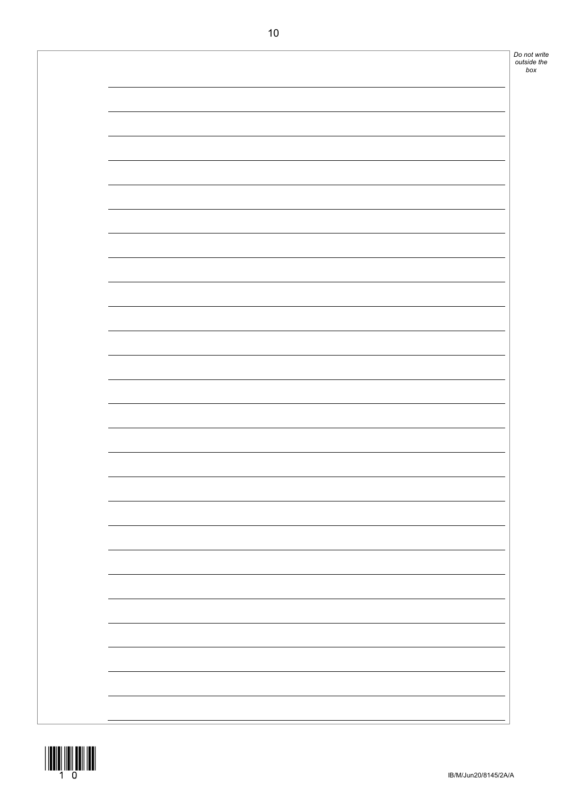

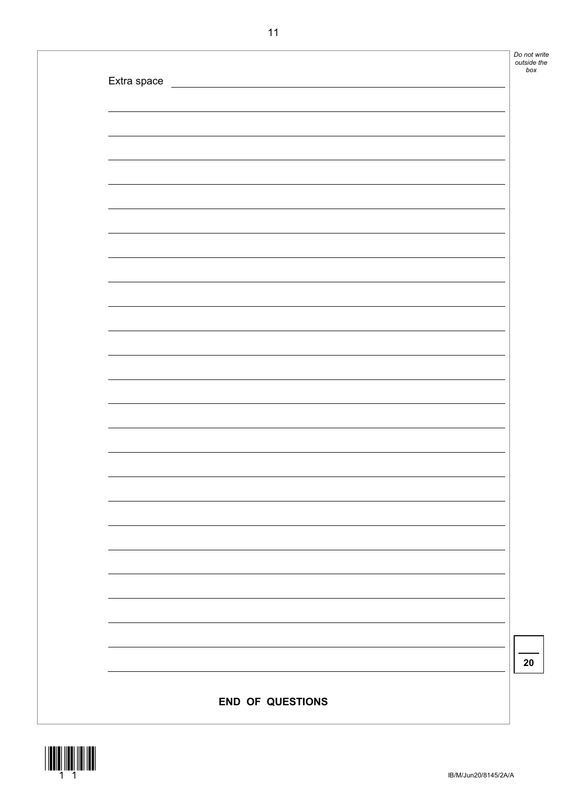|                         | 20 |
|-------------------------|----|
|                         |    |
|                         |    |
|                         |    |
| <b>END OF QUESTIONS</b> |    |
|                         |    |
|                         |    |



<u> 1980 - Johann Barn, mars ann an t-Amhain Aonaich an t-Aonaich an t-Aonaich an t-Aonaich an t-Aonaich an t-Aon</u>

Extra space \_\_\_

| Do not write |
|--------------|
| outside the  |
| box          |
|              |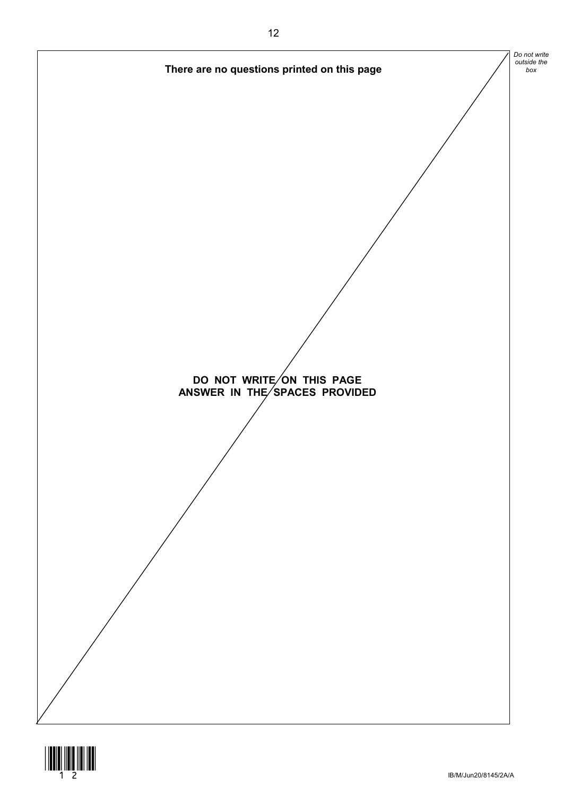

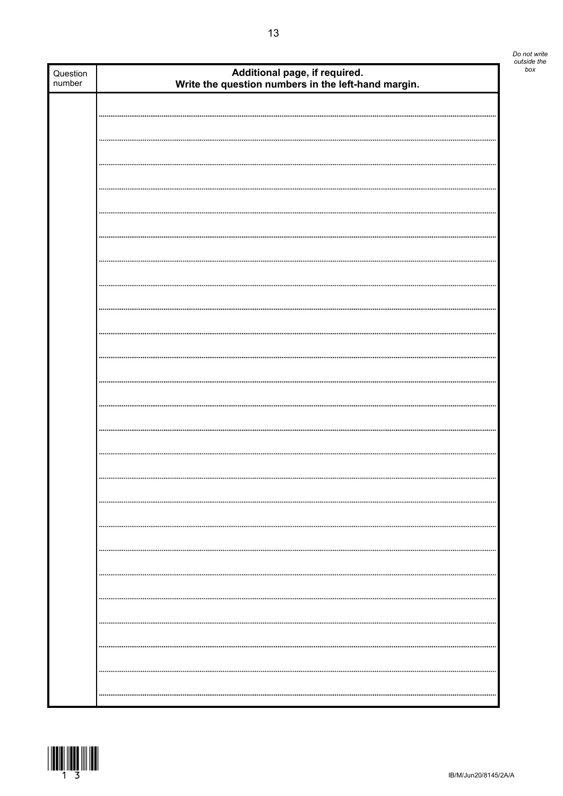|                    |                                                                                      | Do not write<br>outside the<br>box |  |
|--------------------|--------------------------------------------------------------------------------------|------------------------------------|--|
| Question<br>number | Additional page, if required.<br>Write the question numbers in the left-hand margin. |                                    |  |
|                    |                                                                                      |                                    |  |
|                    |                                                                                      |                                    |  |
|                    |                                                                                      |                                    |  |
|                    |                                                                                      |                                    |  |
|                    |                                                                                      |                                    |  |
|                    |                                                                                      |                                    |  |
|                    |                                                                                      |                                    |  |
|                    |                                                                                      |                                    |  |
|                    |                                                                                      |                                    |  |
|                    |                                                                                      |                                    |  |
|                    |                                                                                      |                                    |  |

| Question<br>number | Additional page, if required.<br>Write the question numbers in the left-hand margin. |
|--------------------|--------------------------------------------------------------------------------------|
|                    |                                                                                      |
|                    |                                                                                      |
|                    |                                                                                      |
|                    |                                                                                      |
|                    |                                                                                      |
|                    |                                                                                      |
|                    |                                                                                      |
|                    |                                                                                      |
|                    |                                                                                      |
|                    |                                                                                      |
|                    |                                                                                      |
|                    |                                                                                      |
|                    |                                                                                      |
|                    |                                                                                      |
|                    |                                                                                      |
|                    |                                                                                      |
|                    |                                                                                      |
|                    |                                                                                      |
|                    |                                                                                      |
|                    |                                                                                      |
|                    |                                                                                      |
|                    |                                                                                      |
|                    |                                                                                      |
|                    |                                                                                      |
|                    |                                                                                      |
|                    |                                                                                      |
|                    |                                                                                      |
|                    |                                                                                      |
|                    |                                                                                      |
|                    |                                                                                      |
|                    |                                                                                      |
|                    |                                                                                      |
|                    |                                                                                      |
|                    | <br>                                                                                 |
|                    |                                                                                      |
|                    |                                                                                      |
|                    |                                                                                      |
|                    |                                                                                      |
|                    |                                                                                      |
|                    |                                                                                      |
|                    |                                                                                      |
|                    |                                                                                      |
|                    |                                                                                      |
|                    |                                                                                      |
|                    |                                                                                      |
|                    |                                                                                      |
|                    | <br>                                                                                 |

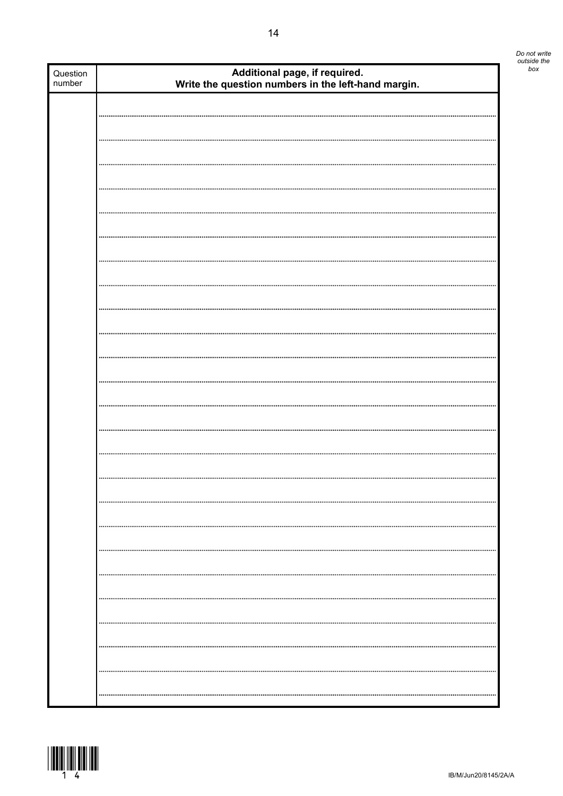| Question<br>number | Additional page, if required.<br>Write the question numbers in the left-hand margin. | box |
|--------------------|--------------------------------------------------------------------------------------|-----|
|                    |                                                                                      |     |
|                    |                                                                                      |     |
|                    |                                                                                      |     |
|                    |                                                                                      |     |
|                    |                                                                                      |     |
|                    |                                                                                      |     |
|                    |                                                                                      |     |
|                    |                                                                                      |     |
|                    |                                                                                      |     |
|                    |                                                                                      |     |
|                    |                                                                                      |     |
|                    |                                                                                      |     |
|                    |                                                                                      |     |
|                    |                                                                                      |     |
|                    |                                                                                      |     |
|                    |                                                                                      |     |
|                    |                                                                                      |     |
|                    |                                                                                      |     |
|                    |                                                                                      |     |
|                    |                                                                                      |     |
|                    |                                                                                      |     |
|                    |                                                                                      |     |
|                    |                                                                                      |     |
|                    |                                                                                      |     |
|                    |                                                                                      |     |
|                    |                                                                                      |     |
|                    |                                                                                      |     |
|                    |                                                                                      |     |
|                    |                                                                                      |     |
|                    |                                                                                      |     |
|                    |                                                                                      |     |
|                    |                                                                                      |     |
|                    |                                                                                      |     |
|                    |                                                                                      |     |
|                    |                                                                                      |     |
|                    |                                                                                      |     |
|                    |                                                                                      |     |
|                    | <br>                                                                                 |     |
|                    |                                                                                      |     |



*Do not write outside the*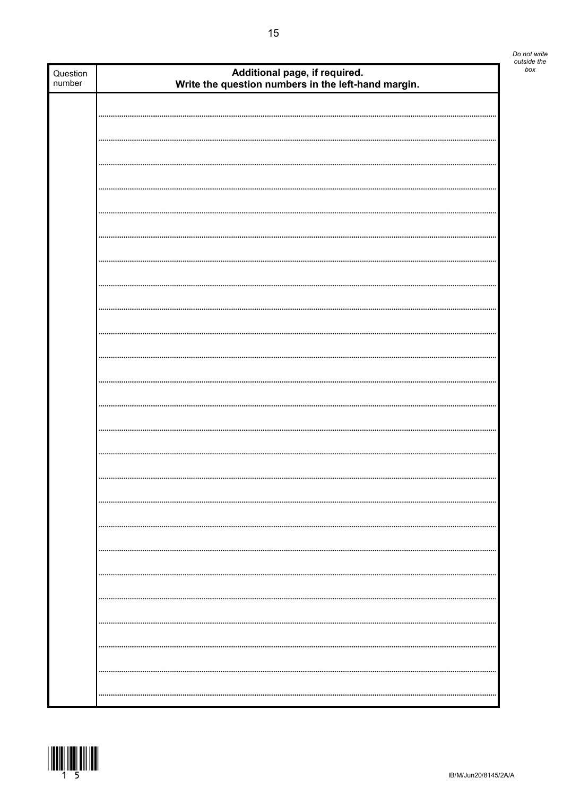|                    | Do not write<br>outside the |
|--------------------|-----------------------------|
| I.<br>hand margin. | box                         |
|                    |                             |
|                    |                             |
|                    |                             |
|                    |                             |

| Question |                                                                                      |
|----------|--------------------------------------------------------------------------------------|
| number   | Additional page, if required.<br>Write the question numbers in the left-hand margin. |
|          |                                                                                      |
|          |                                                                                      |
|          |                                                                                      |
|          |                                                                                      |
|          |                                                                                      |
|          |                                                                                      |
|          |                                                                                      |
|          |                                                                                      |
|          |                                                                                      |
|          |                                                                                      |
|          |                                                                                      |
|          |                                                                                      |
|          |                                                                                      |
|          |                                                                                      |
|          |                                                                                      |
|          |                                                                                      |
|          |                                                                                      |
|          |                                                                                      |
|          |                                                                                      |
|          |                                                                                      |
|          |                                                                                      |
|          |                                                                                      |
|          |                                                                                      |
|          |                                                                                      |
|          |                                                                                      |
|          |                                                                                      |
|          |                                                                                      |
|          |                                                                                      |
|          |                                                                                      |
|          |                                                                                      |
|          |                                                                                      |
|          |                                                                                      |
|          |                                                                                      |
|          |                                                                                      |
|          |                                                                                      |
|          |                                                                                      |
|          |                                                                                      |
|          |                                                                                      |
|          |                                                                                      |
|          |                                                                                      |
|          |                                                                                      |
|          |                                                                                      |
|          |                                                                                      |
|          |                                                                                      |
|          |                                                                                      |
|          |                                                                                      |
|          |                                                                                      |
|          |                                                                                      |
|          |                                                                                      |
|          |                                                                                      |
|          |                                                                                      |
|          |                                                                                      |
|          |                                                                                      |